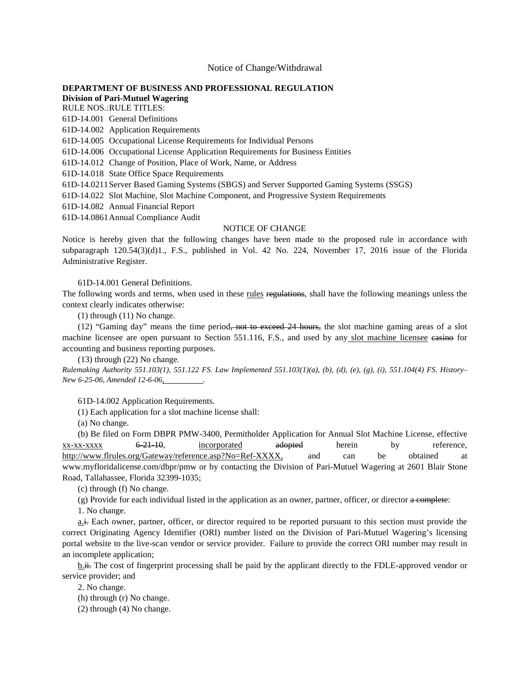## Notice of Change/Withdrawal

## **[DEPARTMENT OF BUSINESS AND PROFESSIONAL REGULATION](https://www.flrules.org/gateway/department.asp?id=61)**

**[Division of Pari-Mutuel Wagering](https://www.flrules.org/gateway/organization.asp?id=250)**

RULE NOS.:RULE TITLES: [61D-14.001](https://www.flrules.org/gateway/ruleNo.asp?id=61D-14.001) General Definitions

[61D-14.002](https://www.flrules.org/gateway/ruleNo.asp?id=61D-14.002) Application Requirements

[61D-14.005](https://www.flrules.org/gateway/ruleNo.asp?id=61D-14.005) Occupational License Requirements for Individual Persons

[61D-14.006](https://www.flrules.org/gateway/ruleNo.asp?id=61D-14.006) Occupational License Application Requirements for Business Entities

[61D-14.012](https://www.flrules.org/gateway/ruleNo.asp?id=61D-14.012) Change of Position, Place of Work, Name, or Address

[61D-14.018](https://www.flrules.org/gateway/ruleNo.asp?id=61D-14.018) State Office Space Requirements

[61D-14.0211S](https://www.flrules.org/gateway/ruleNo.asp?id=61D-14.0211)erver Based Gaming Systems (SBGS) and Server Supported Gaming Systems (SSGS)

[61D-14.022](https://www.flrules.org/gateway/ruleNo.asp?id=61D-14.022) Slot Machine, Slot Machine Component, and Progressive System Requirements

[61D-14.082](https://www.flrules.org/gateway/ruleNo.asp?id=61D-14.082) Annual Financial Report

[61D-14.0861A](https://www.flrules.org/gateway/ruleNo.asp?id=61D-14.0861)nnual Compliance Audit

## NOTICE OF CHANGE

Notice is hereby given that the following changes have been made to the proposed rule in accordance with subparagraph 120.54(3)(d)1., F.S., published in Vol. 42 No. 224, November 17, 2016 issue of the Florida Administrative Register.

61D-14.001 General Definitions.

The following words and terms, when used in these rules regulations, shall have the following meanings unless the context clearly indicates otherwise:

(1) through (11) No change.

 $(12)$  "Gaming day" means the time period<del>, not to exceed 24 hours,</del> the slot machine gaming areas of a slot machine licensee are open pursuant to Section 551.116, F.S., and used by any slot machine licensee easino for accounting and business reporting purposes.

(13) through (22) No change.

*Rulemaking Authority 551.103(1), 551.122 FS. Law Implemented 551.103(1)(a), (b), (d), (e), (g), (i), 551.104(4) FS. History– New 6-25-06, Amended 12-6-06, .*

61D-14.002 Application Requirements.

(1) Each application for a slot machine license shall:

(a) No change.

(b) Be filed on Form DBPR PMW-3400, Permitholder Application for Annual Slot Machine License, effective  $\frac{xx-xx-xxxx}{y}$  6-21-10, incorporated adopted herein by reference, [http://www.flrules.org/Gateway/reference.asp?No=Ref-XXXX,](http://www.flrules.org/Gateway/reference.asp?No=Ref-XXXX) and can be obtained at www.myfloridalicense.com/dbpr/pmw or by contacting the Division of Pari-Mutuel Wagering at 2601 Blair Stone Road, Tallahassee, Florida 32399-1035;

(c) through (f) No change.

(g) Provide for each individual listed in the application as an owner, partner, officer, or director a complete:

1. No change.

a.i. Each owner, partner, officer, or director required to be reported pursuant to this section must provide the correct Originating Agency Identifier (ORI) number listed on the Division of Pari-Mutuel Wagering's licensing portal website to the live-scan vendor or service provider. Failure to provide the correct ORI number may result in an incomplete application;

b.ii. The cost of fingerprint processing shall be paid by the applicant directly to the FDLE-approved vendor or service provider; and

2. No change.

(h) through (r) No change.

(2) through (4) No change.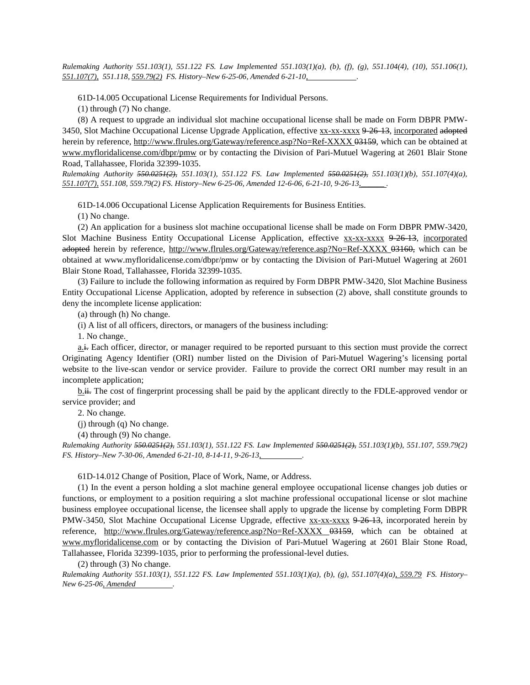*Rulemaking Authority 551.103(1), 551.122 FS. Law Implemented 551.103(1)(a), (b), (f), (g), 551.104(4), (10), 551.106(1), 551.107(7), 551.118, 559.79(2) FS. History–New 6-25-06, Amended 6-21-10, .*

61D-14.005 Occupational License Requirements for Individual Persons.

(1) through (7) No change.

(8) A request to upgrade an individual slot machine occupational license shall be made on Form DBPR PMW-3450, Slot Machine Occupational License Upgrade Application, effective xx-xx-xxxx 9-26-13, incorporated adopted herein by reference,<http://www.flrules.org/Gateway/reference.asp?No=Ref-XXXX> 03159, which can be obtained at [www.myfloridalicense.com/dbpr/pmw](http://www.myfloridalicense.com/dbpr/pmw) or by contacting the Division of Pari-Mutuel Wagering at 2601 Blair Stone Road, Tallahassee, Florida 32399-1035.

*Rulemaking Authority 550.0251(2), 551.103(1), 551.122 FS. Law Implemented 550.0251(2), 551.103(1)(b), 551.107(4)(a), 551.107(7), 551.108, 559.79(2) FS. History–New 6-25-06, Amended 12-6-06, 6-21-10, 9-26-13,\_\_\_\_\_\_ .*

61D-14.006 Occupational License Application Requirements for Business Entities.

(1) No change.

(2) An application for a business slot machine occupational license shall be made on Form DBPR PMW-3420, Slot Machine Business Entity Occupational License Application, effective xx-xx-xxxx 9-26-13, incorporated adopted herein by reference,<http://www.flrules.org/Gateway/reference.asp?No=Ref-XXXX> 03160, which can be obtained at www.myfloridalicense.com/dbpr/pmw or by contacting the Division of Pari-Mutuel Wagering at 2601 Blair Stone Road, Tallahassee, Florida 32399-1035.

(3) Failure to include the following information as required by Form DBPR PMW-3420, Slot Machine Business Entity Occupational License Application, adopted by reference in subsection (2) above, shall constitute grounds to deny the incomplete license application:

(a) through (h) No change.

(i) A list of all officers, directors, or managers of the business including:

1. No change.

a.i. Each officer, director, or manager required to be reported pursuant to this section must provide the correct Originating Agency Identifier (ORI) number listed on the Division of Pari-Mutuel Wagering's licensing portal website to the live-scan vendor or service provider. Failure to provide the correct ORI number may result in an incomplete application;

b.i. The cost of fingerprint processing shall be paid by the applicant directly to the FDLE-approved vendor or service provider; and

2. No change.

(j) through (q) No change.

(4) through (9) No change.

*Rulemaking Authority 550.0251(2), 551.103(1), 551.122 FS. Law Implemented 550.0251(2), 551.103(1)(b), 551.107, 559.79(2) FS. History–New 7-30-06, Amended 6-21-10, 8-14-11, 9-26-13, .*

61D-14.012 Change of Position, Place of Work, Name, or Address.

(1) In the event a person holding a slot machine general employee occupational license changes job duties or functions, or employment to a position requiring a slot machine professional occupational license or slot machine business employee occupational license, the licensee shall apply to upgrade the license by completing Form DBPR PMW-3450, Slot Machine Occupational License Upgrade, effective xx-xx-xxxx 9-26-13, incorporated herein by reference, <http://www.flrules.org/Gateway/reference.asp?No=Ref-XXXX> 03159, which can be obtained at [www.myfloridalicense.com](http://www.myfloridalicense.com/) or by contacting the Division of Pari-Mutuel Wagering at 2601 Blair Stone Road, Tallahassee, Florida 32399-1035, prior to performing the professional-level duties.

(2) through (3) No change.

*Rulemaking Authority 551.103(1), 551.122 FS. Law Implemented 551.103(1)(a), (b), (g), 551.107(4)(a), 559.79 FS. History– New 6-25-06, Amended .*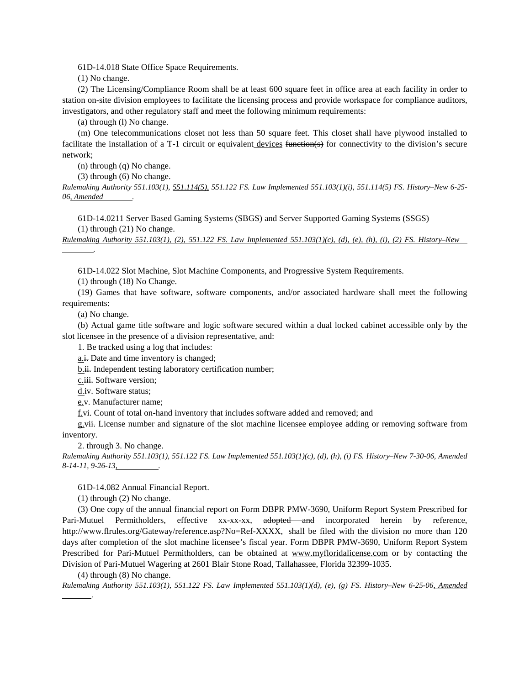61D-14.018 State Office Space Requirements.

(1) No change.

(2) The Licensing/Compliance Room shall be at least 600 square feet in office area at each facility in order to station on-site division employees to facilitate the licensing process and provide workspace for compliance auditors, investigators, and other regulatory staff and meet the following minimum requirements:

(a) through (l) No change.

(m) One telecommunications closet not less than 50 square feet. This closet shall have plywood installed to facilitate the installation of a T-1 circuit or equivalent devices function(s) for connectivity to the division's secure network;

(n) through (q) No change.

(3) through (6) No change.

*Rulemaking Authority 551.103(1), 551.114(5), 551.122 FS. Law Implemented 551.103(1)(i), 551.114(5) FS. History–New 6-25- 06, Amended .*

61D-14.0211 Server Based Gaming Systems (SBGS) and Server Supported Gaming Systems (SSGS)

(1) through (21) No change.

*Rulemaking Authority 551.103(1), (2), 551.122 FS. Law Implemented 551.103(1)(c), (d), (e), (h), (i), (2) FS. History–New* 

61D-14.022 Slot Machine, Slot Machine Components, and Progressive System Requirements.

(1) through (18) No Change.

(19) Games that have software, software components, and/or associated hardware shall meet the following requirements:

(a) No change.

 *.*

(b) Actual game title software and logic software secured within a dual locked cabinet accessible only by the slot licensee in the presence of a division representative, and:

1. Be tracked using a log that includes:

a.i. Date and time inventory is changed;

b.ii. Independent testing laboratory certification number;

c.<del>iii.</del> Software version;

d.iv. Software status;

e.v. Manufacturer name;

f.vi. Count of total on-hand inventory that includes software added and removed; and

g.<del>vii.</del> License number and signature of the slot machine licensee employee adding or removing software from inventory.

2. through 3. No change.

*Rulemaking Authority 551.103(1), 551.122 FS. Law Implemented 551.103(1)(c), (d), (h), (i) FS. History–New 7-30-06, Amended 8-14-11, 9-26-13, .*

61D-14.082 Annual Financial Report.

(1) through (2) No change.

(3) One copy of the annual financial report on Form DBPR PMW-3690, Uniform Report System Prescribed for Pari-Mutuel Permitholders, effective xx-xx-xx, adopted and incorporated herein by reference, [http://www.flrules.org/Gateway/reference.asp?No=Ref-XXXX,](http://www.flrules.org/Gateway/reference.asp?No=Ref-XXXX) shall be filed with the division no more than 120 days after completion of the slot machine licensee's fiscal year. Form DBPR PMW-3690, Uniform Report System Prescribed for Pari-Mutuel Permitholders, can be obtained at [www.myfloridalicense.com](http://www.myfloridalicense.com/) or by contacting the Division of Pari-Mutuel Wagering at 2601 Blair Stone Road, Tallahassee, Florida 32399-1035.

(4) through (8) No change.

 *.*

*Rulemaking Authority 551.103(1), 551.122 FS. Law Implemented 551.103(1)(d), (e), (g) FS. History–New 6-25-06, Amended*